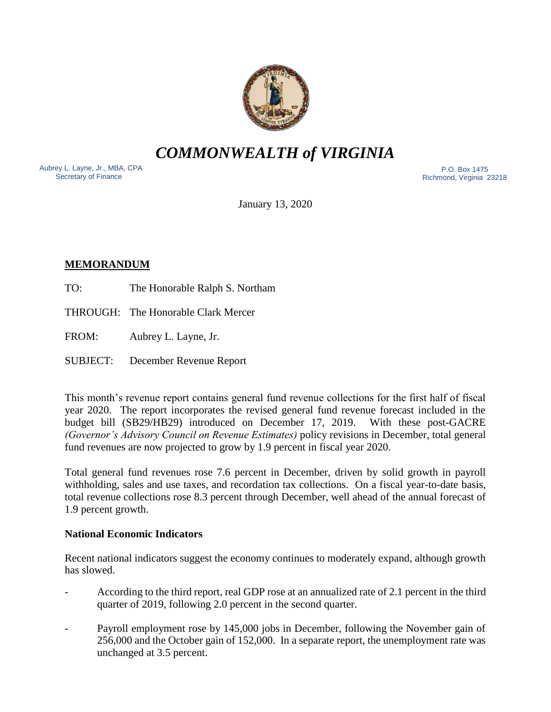

*COMMONWEALTH of VIRGINIA*

Aubrey L. Layne, Jr., MBA, CPA Secretary of Finance

 P.O. Box 1475 Richmond, Virginia 23218

January 13, 2020

# **MEMORANDUM**

- TO: The Honorable Ralph S. Northam
- THROUGH: The Honorable Clark Mercer
- FROM: Aubrey L. Layne, Jr.
- SUBJECT: December Revenue Report

This month's revenue report contains general fund revenue collections for the first half of fiscal year 2020. The report incorporates the revised general fund revenue forecast included in the budget bill (SB29/HB29) introduced on December 17, 2019. With these post-GACRE *(Governor's Advisory Council on Revenue Estimates)* policy revisions in December, total general fund revenues are now projected to grow by 1.9 percent in fiscal year 2020.

Total general fund revenues rose 7.6 percent in December, driven by solid growth in payroll withholding, sales and use taxes, and recordation tax collections. On a fiscal year-to-date basis, total revenue collections rose 8.3 percent through December, well ahead of the annual forecast of 1.9 percent growth.

# **National Economic Indicators**

Recent national indicators suggest the economy continues to moderately expand, although growth has slowed.

- According to the third report, real GDP rose at an annualized rate of 2.1 percent in the third quarter of 2019, following 2.0 percent in the second quarter.
- Payroll employment rose by 145,000 jobs in December, following the November gain of 256,000 and the October gain of 152,000. In a separate report, the unemployment rate was unchanged at 3.5 percent.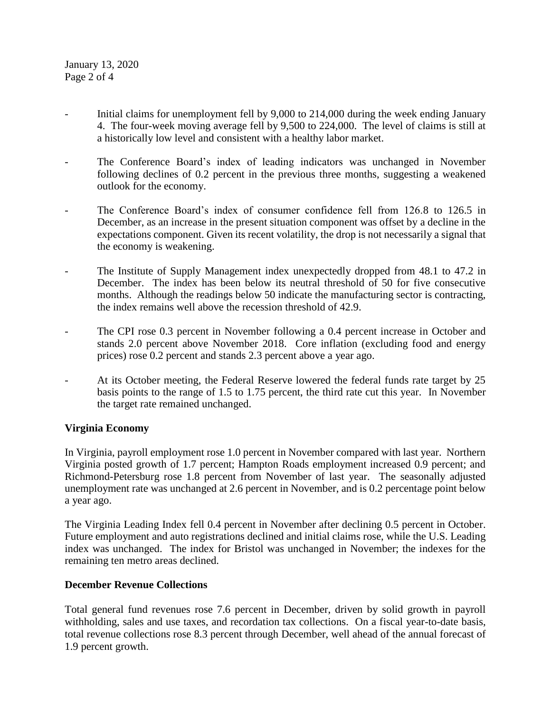January 13, 2020 Page 2 of 4

- Initial claims for unemployment fell by 9,000 to 214,000 during the week ending January 4. The four-week moving average fell by 9,500 to 224,000. The level of claims is still at a historically low level and consistent with a healthy labor market.
- The Conference Board's index of leading indicators was unchanged in November following declines of 0.2 percent in the previous three months, suggesting a weakened outlook for the economy.
- The Conference Board's index of consumer confidence fell from 126.8 to 126.5 in December, as an increase in the present situation component was offset by a decline in the expectations component. Given its recent volatility, the drop is not necessarily a signal that the economy is weakening.
- The Institute of Supply Management index unexpectedly dropped from 48.1 to 47.2 in December. The index has been below its neutral threshold of 50 for five consecutive months. Although the readings below 50 indicate the manufacturing sector is contracting, the index remains well above the recession threshold of 42.9.
- The CPI rose 0.3 percent in November following a 0.4 percent increase in October and stands 2.0 percent above November 2018. Core inflation (excluding food and energy prices) rose 0.2 percent and stands 2.3 percent above a year ago.
- At its October meeting, the Federal Reserve lowered the federal funds rate target by 25 basis points to the range of 1.5 to 1.75 percent, the third rate cut this year. In November the target rate remained unchanged.

# **Virginia Economy**

In Virginia, payroll employment rose 1.0 percent in November compared with last year. Northern Virginia posted growth of 1.7 percent; Hampton Roads employment increased 0.9 percent; and Richmond-Petersburg rose 1.8 percent from November of last year. The seasonally adjusted unemployment rate was unchanged at 2.6 percent in November, and is 0.2 percentage point below a year ago.

The Virginia Leading Index fell 0.4 percent in November after declining 0.5 percent in October. Future employment and auto registrations declined and initial claims rose, while the U.S. Leading index was unchanged. The index for Bristol was unchanged in November; the indexes for the remaining ten metro areas declined.

# **December Revenue Collections**

Total general fund revenues rose 7.6 percent in December, driven by solid growth in payroll withholding, sales and use taxes, and recordation tax collections. On a fiscal year-to-date basis, total revenue collections rose 8.3 percent through December, well ahead of the annual forecast of 1.9 percent growth.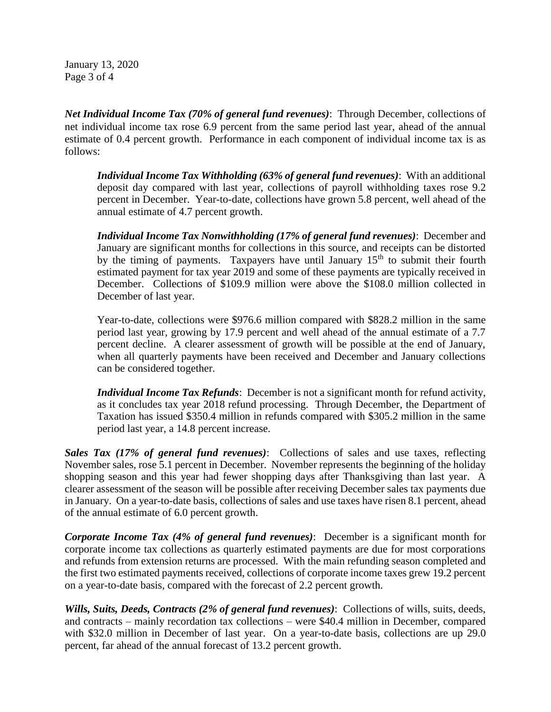January 13, 2020 Page 3 of 4

*Net Individual Income Tax (70% of general fund revenues)*: Through December, collections of net individual income tax rose 6.9 percent from the same period last year, ahead of the annual estimate of 0.4 percent growth. Performance in each component of individual income tax is as follows:

*Individual Income Tax Withholding (63% of general fund revenues)*: With an additional deposit day compared with last year, collections of payroll withholding taxes rose 9.2 percent in December. Year-to-date, collections have grown 5.8 percent, well ahead of the annual estimate of 4.7 percent growth.

*Individual Income Tax Nonwithholding (17% of general fund revenues)*: December and January are significant months for collections in this source, and receipts can be distorted by the timing of payments. Taxpayers have until January  $15<sup>th</sup>$  to submit their fourth estimated payment for tax year 2019 and some of these payments are typically received in December. Collections of \$109.9 million were above the \$108.0 million collected in December of last year.

Year-to-date, collections were \$976.6 million compared with \$828.2 million in the same period last year, growing by 17.9 percent and well ahead of the annual estimate of a 7.7 percent decline. A clearer assessment of growth will be possible at the end of January, when all quarterly payments have been received and December and January collections can be considered together.

*Individual Income Tax Refunds*: December is not a significant month for refund activity, as it concludes tax year 2018 refund processing. Through December, the Department of Taxation has issued \$350.4 million in refunds compared with \$305.2 million in the same period last year, a 14.8 percent increase.

*Sales Tax (17% of general fund revenues)*: Collections of sales and use taxes, reflecting November sales, rose 5.1 percent in December. November represents the beginning of the holiday shopping season and this year had fewer shopping days after Thanksgiving than last year. A clearer assessment of the season will be possible after receiving December sales tax payments due in January. On a year-to-date basis, collections of sales and use taxes have risen 8.1 percent, ahead of the annual estimate of 6.0 percent growth.

*Corporate Income Tax (4% of general fund revenues)*: December is a significant month for corporate income tax collections as quarterly estimated payments are due for most corporations and refunds from extension returns are processed. With the main refunding season completed and the first two estimated payments received, collections of corporate income taxes grew 19.2 percent on a year-to-date basis, compared with the forecast of 2.2 percent growth.

*Wills, Suits, Deeds, Contracts (2% of general fund revenues)*: Collections of wills, suits, deeds, and contracts – mainly recordation tax collections – were \$40.4 million in December, compared with \$32.0 million in December of last year. On a year-to-date basis, collections are up 29.0 percent, far ahead of the annual forecast of 13.2 percent growth.